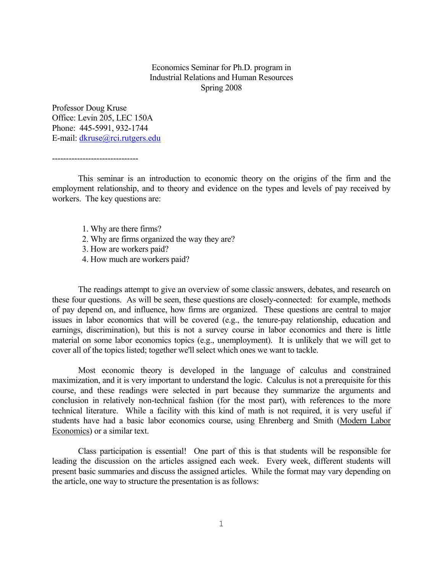# Economics Seminar for Ph.D. program in Industrial Relations and Human Resources Spring 2008

Professor Doug Kruse Office: Levin 205, LEC 150A Phone: 445-5991, 932-1744 E-mail: dkruse@rci.rutgers.edu

-------------------------------

 This seminar is an introduction to economic theory on the origins of the firm and the employment relationship, and to theory and evidence on the types and levels of pay received by workers. The key questions are:

- 1. Why are there firms?
- 2. Why are firms organized the way they are?
- 3. How are workers paid?
- 4. How much are workers paid?

 The readings attempt to give an overview of some classic answers, debates, and research on these four questions. As will be seen, these questions are closely-connected: for example, methods of pay depend on, and influence, how firms are organized. These questions are central to major issues in labor economics that will be covered (e.g., the tenure-pay relationship, education and earnings, discrimination), but this is not a survey course in labor economics and there is little material on some labor economics topics (e.g., unemployment). It is unlikely that we will get to cover all of the topics listed; together we'll select which ones we want to tackle.

 Most economic theory is developed in the language of calculus and constrained maximization, and it is very important to understand the logic. Calculus is not a prerequisite for this course, and these readings were selected in part because they summarize the arguments and conclusion in relatively non-technical fashion (for the most part), with references to the more technical literature. While a facility with this kind of math is not required, it is very useful if students have had a basic labor economics course, using Ehrenberg and Smith (Modern Labor Economics) or a similar text.

 Class participation is essential! One part of this is that students will be responsible for leading the discussion on the articles assigned each week. Every week, different students will present basic summaries and discuss the assigned articles. While the format may vary depending on the article, one way to structure the presentation is as follows: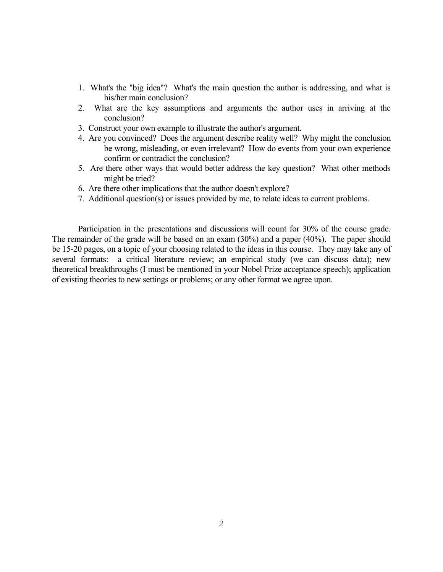- 1. What's the "big idea"? What's the main question the author is addressing, and what is his/her main conclusion?
- 2. What are the key assumptions and arguments the author uses in arriving at the conclusion?
- 3. Construct your own example to illustrate the author's argument.
- 4. Are you convinced? Does the argument describe reality well? Why might the conclusion be wrong, misleading, or even irrelevant? How do events from your own experience confirm or contradict the conclusion?
- 5. Are there other ways that would better address the key question? What other methods might be tried?
- 6. Are there other implications that the author doesn't explore?
- 7. Additional question(s) or issues provided by me, to relate ideas to current problems.

 Participation in the presentations and discussions will count for 30% of the course grade. The remainder of the grade will be based on an exam (30%) and a paper (40%). The paper should be 15-20 pages, on a topic of your choosing related to the ideas in this course. They may take any of several formats: a critical literature review; an empirical study (we can discuss data); new theoretical breakthroughs (I must be mentioned in your Nobel Prize acceptance speech); application of existing theories to new settings or problems; or any other format we agree upon.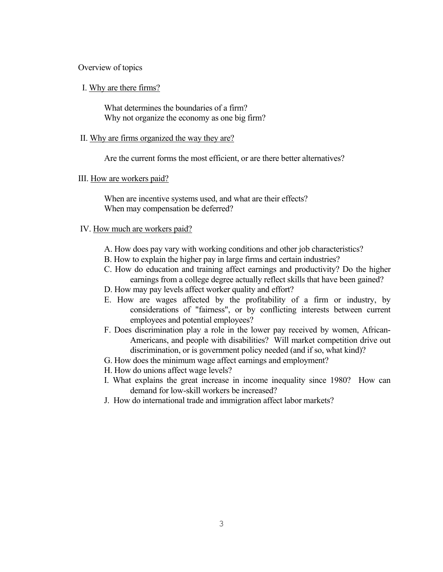# Overview of topics

#### I. Why are there firms?

 What determines the boundaries of a firm? Why not organize the economy as one big firm?

### II. Why are firms organized the way they are?

Are the current forms the most efficient, or are there better alternatives?

# III. How are workers paid?

 When are incentive systems used, and what are their effects? When may compensation be deferred?

### IV. How much are workers paid?

- A. How does pay vary with working conditions and other job characteristics?
- B. How to explain the higher pay in large firms and certain industries?
- C. How do education and training affect earnings and productivity? Do the higher earnings from a college degree actually reflect skills that have been gained?
- D. How may pay levels affect worker quality and effort?
- E. How are wages affected by the profitability of a firm or industry, by considerations of "fairness", or by conflicting interests between current employees and potential employees?
- F. Does discrimination play a role in the lower pay received by women, African-Americans, and people with disabilities? Will market competition drive out discrimination, or is government policy needed (and if so, what kind)?
- G. How does the minimum wage affect earnings and employment?
- H. How do unions affect wage levels?
- I. What explains the great increase in income inequality since 1980? How can demand for low-skill workers be increased?
- J. How do international trade and immigration affect labor markets?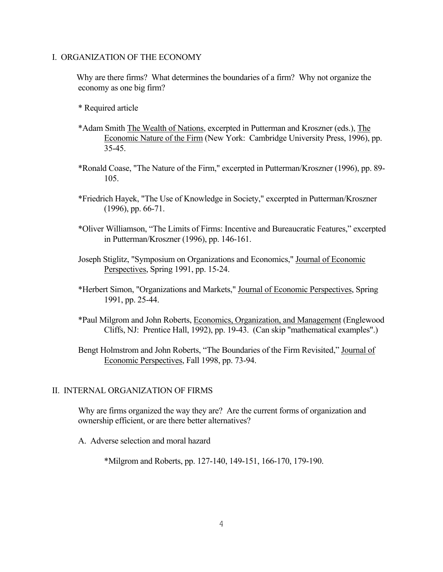## I. ORGANIZATION OF THE ECONOMY

 Why are there firms? What determines the boundaries of a firm? Why not organize the economy as one big firm?

- \* Required article
- \*Adam Smith The Wealth of Nations, excerpted in Putterman and Kroszner (eds.), The Economic Nature of the Firm (New York: Cambridge University Press, 1996), pp. 35-45.
- \*Ronald Coase, "The Nature of the Firm," excerpted in Putterman/Kroszner (1996), pp. 89- 105.
- \*Friedrich Hayek, "The Use of Knowledge in Society," excerpted in Putterman/Kroszner (1996), pp. 66-71.
- \*Oliver Williamson, "The Limits of Firms: Incentive and Bureaucratic Features," excerpted in Putterman/Kroszner (1996), pp. 146-161.
- Joseph Stiglitz, "Symposium on Organizations and Economics," Journal of Economic Perspectives, Spring 1991, pp. 15-24.
- \*Herbert Simon, "Organizations and Markets," Journal of Economic Perspectives, Spring 1991, pp. 25-44.
- \*Paul Milgrom and John Roberts, Economics, Organization, and Management (Englewood Cliffs, NJ: Prentice Hall, 1992), pp. 19-43. (Can skip "mathematical examples".)
- Bengt Holmstrom and John Roberts, "The Boundaries of the Firm Revisited," Journal of Economic Perspectives, Fall 1998, pp. 73-94.

# II. INTERNAL ORGANIZATION OF FIRMS

 Why are firms organized the way they are? Are the current forms of organization and ownership efficient, or are there better alternatives?

- A. Adverse selection and moral hazard
	- \*Milgrom and Roberts, pp. 127-140, 149-151, 166-170, 179-190.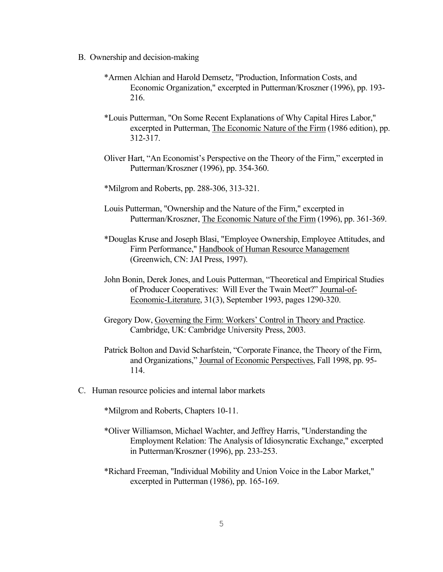- B. Ownership and decision-making
	- \*Armen Alchian and Harold Demsetz, "Production, Information Costs, and Economic Organization," excerpted in Putterman/Kroszner (1996), pp. 193- 216.
	- \*Louis Putterman, "On Some Recent Explanations of Why Capital Hires Labor," excerpted in Putterman, The Economic Nature of the Firm (1986 edition), pp. 312-317.
	- Oliver Hart, "An Economist's Perspective on the Theory of the Firm," excerpted in Putterman/Kroszner (1996), pp. 354-360.
	- \*Milgrom and Roberts, pp. 288-306, 313-321.
	- Louis Putterman, "Ownership and the Nature of the Firm," excerpted in Putterman/Kroszner, The Economic Nature of the Firm (1996), pp. 361-369.
	- \*Douglas Kruse and Joseph Blasi, "Employee Ownership, Employee Attitudes, and Firm Performance," Handbook of Human Resource Management (Greenwich, CN: JAI Press, 1997).
	- John Bonin, Derek Jones, and Louis Putterman, "Theoretical and Empirical Studies of Producer Cooperatives: Will Ever the Twain Meet?" Journal-of-Economic-Literature, 31(3), September 1993, pages 1290-320.
	- Gregory Dow, Governing the Firm: Workers' Control in Theory and Practice. Cambridge, UK: Cambridge University Press, 2003.
	- Patrick Bolton and David Scharfstein, "Corporate Finance, the Theory of the Firm, and Organizations," Journal of Economic Perspectives, Fall 1998, pp. 95- 114.
- C. Human resource policies and internal labor markets

\*Milgrom and Roberts, Chapters 10-11.

- \*Oliver Williamson, Michael Wachter, and Jeffrey Harris, "Understanding the Employment Relation: The Analysis of Idiosyncratic Exchange," excerpted in Putterman/Kroszner (1996), pp. 233-253.
- \*Richard Freeman, "Individual Mobility and Union Voice in the Labor Market," excerpted in Putterman (1986), pp. 165-169.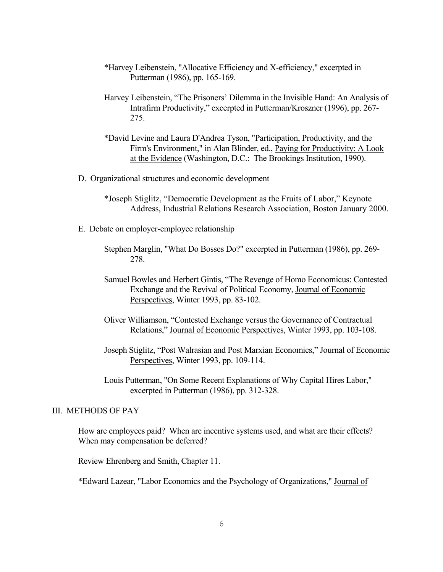- \*Harvey Leibenstein, "Allocative Efficiency and X-efficiency," excerpted in Putterman (1986), pp. 165-169.
- Harvey Leibenstein, "The Prisoners' Dilemma in the Invisible Hand: An Analysis of Intrafirm Productivity," excerpted in Putterman/Kroszner (1996), pp. 267- 275.
- \*David Levine and Laura D'Andrea Tyson, "Participation, Productivity, and the Firm's Environment," in Alan Blinder, ed., Paying for Productivity: A Look at the Evidence (Washington, D.C.: The Brookings Institution, 1990).
- D. Organizational structures and economic development
	- \*Joseph Stiglitz, "Democratic Development as the Fruits of Labor," Keynote Address, Industrial Relations Research Association, Boston January 2000.
- E. Debate on employer-employee relationship
	- Stephen Marglin, "What Do Bosses Do?" excerpted in Putterman (1986), pp. 269- 278.
	- Samuel Bowles and Herbert Gintis, "The Revenge of Homo Economicus: Contested Exchange and the Revival of Political Economy, Journal of Economic Perspectives, Winter 1993, pp. 83-102.
	- Oliver Williamson, "Contested Exchange versus the Governance of Contractual Relations," Journal of Economic Perspectives, Winter 1993, pp. 103-108.
	- Joseph Stiglitz, "Post Walrasian and Post Marxian Economics," Journal of Economic Perspectives, Winter 1993, pp. 109-114.
	- Louis Putterman, "On Some Recent Explanations of Why Capital Hires Labor," excerpted in Putterman (1986), pp. 312-328.

# III. METHODS OF PAY

 How are employees paid? When are incentive systems used, and what are their effects? When may compensation be deferred?

Review Ehrenberg and Smith, Chapter 11.

\*Edward Lazear, "Labor Economics and the Psychology of Organizations," Journal of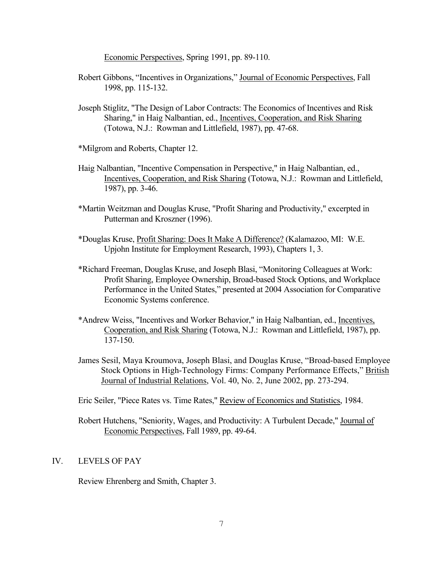Economic Perspectives, Spring 1991, pp. 89-110.

- Robert Gibbons, "Incentives in Organizations," Journal of Economic Perspectives, Fall 1998, pp. 115-132.
- Joseph Stiglitz, "The Design of Labor Contracts: The Economics of Incentives and Risk Sharing," in Haig Nalbantian, ed., Incentives, Cooperation, and Risk Sharing (Totowa, N.J.: Rowman and Littlefield, 1987), pp. 47-68.
- \*Milgrom and Roberts, Chapter 12.
- Haig Nalbantian, "Incentive Compensation in Perspective," in Haig Nalbantian, ed., Incentives, Cooperation, and Risk Sharing (Totowa, N.J.: Rowman and Littlefield, 1987), pp. 3-46.
- \*Martin Weitzman and Douglas Kruse, "Profit Sharing and Productivity," excerpted in Putterman and Kroszner (1996).
- \*Douglas Kruse, Profit Sharing: Does It Make A Difference? (Kalamazoo, MI: W.E. Upjohn Institute for Employment Research, 1993), Chapters 1, 3.
- \*Richard Freeman, Douglas Kruse, and Joseph Blasi, "Monitoring Colleagues at Work: Profit Sharing, Employee Ownership, Broad-based Stock Options, and Workplace Performance in the United States," presented at 2004 Association for Comparative Economic Systems conference.
- \*Andrew Weiss, "Incentives and Worker Behavior," in Haig Nalbantian, ed., Incentives, Cooperation, and Risk Sharing (Totowa, N.J.: Rowman and Littlefield, 1987), pp. 137-150.
- James Sesil, Maya Kroumova, Joseph Blasi, and Douglas Kruse, "Broad-based Employee Stock Options in High-Technology Firms: Company Performance Effects," British Journal of Industrial Relations, Vol. 40, No. 2, June 2002, pp. 273-294.

Eric Seiler, "Piece Rates vs. Time Rates," Review of Economics and Statistics, 1984.

 Robert Hutchens, "Seniority, Wages, and Productivity: A Turbulent Decade," Journal of Economic Perspectives, Fall 1989, pp. 49-64.

# IV. LEVELS OF PAY

Review Ehrenberg and Smith, Chapter 3.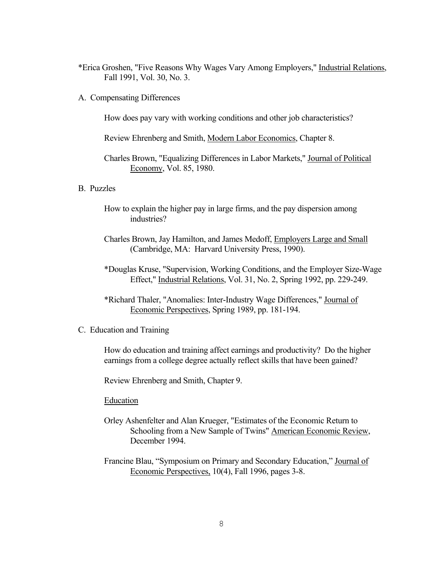\*Erica Groshen, "Five Reasons Why Wages Vary Among Employers," Industrial Relations, Fall 1991, Vol. 30, No. 3.

A. Compensating Differences

How does pay vary with working conditions and other job characteristics?

Review Ehrenberg and Smith, Modern Labor Economics, Chapter 8.

 Charles Brown, "Equalizing Differences in Labor Markets," Journal of Political Economy, Vol. 85, 1980.

### B. Puzzles

- How to explain the higher pay in large firms, and the pay dispersion among industries?
- Charles Brown, Jay Hamilton, and James Medoff, Employers Large and Small (Cambridge, MA: Harvard University Press, 1990).
- \*Douglas Kruse, "Supervision, Working Conditions, and the Employer Size-Wage Effect," Industrial Relations, Vol. 31, No. 2, Spring 1992, pp. 229-249.
- \*Richard Thaler, "Anomalies: Inter-Industry Wage Differences," Journal of Economic Perspectives, Spring 1989, pp. 181-194.

### C. Education and Training

 How do education and training affect earnings and productivity? Do the higher earnings from a college degree actually reflect skills that have been gained?

Review Ehrenberg and Smith, Chapter 9.

## Education

- Orley Ashenfelter and Alan Krueger, "Estimates of the Economic Return to Schooling from a New Sample of Twins" American Economic Review, December 1994.
- Francine Blau, "Symposium on Primary and Secondary Education," Journal of Economic Perspectives, 10(4), Fall 1996, pages 3-8.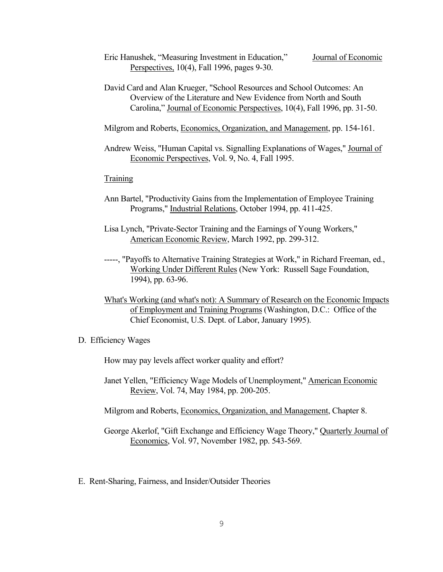- Eric Hanushek, "Measuring Investment in Education," Journal of Economic Perspectives, 10(4), Fall 1996, pages 9-30.
- David Card and Alan Krueger, "School Resources and School Outcomes: An Overview of the Literature and New Evidence from North and South Carolina," Journal of Economic Perspectives, 10(4), Fall 1996, pp. 31-50.

Milgrom and Roberts, Economics, Organization, and Management, pp. 154-161.

 Andrew Weiss, "Human Capital vs. Signalling Explanations of Wages," Journal of Economic Perspectives, Vol. 9, No. 4, Fall 1995.

# **Training**

- Ann Bartel, "Productivity Gains from the Implementation of Employee Training Programs," Industrial Relations, October 1994, pp. 411-425.
- Lisa Lynch, "Private-Sector Training and the Earnings of Young Workers," American Economic Review, March 1992, pp. 299-312.
- -----, "Payoffs to Alternative Training Strategies at Work," in Richard Freeman, ed., Working Under Different Rules (New York: Russell Sage Foundation, 1994), pp. 63-96.
- What's Working (and what's not): A Summary of Research on the Economic Impacts of Employment and Training Programs (Washington, D.C.: Office of the Chief Economist, U.S. Dept. of Labor, January 1995).

# D. Efficiency Wages

How may pay levels affect worker quality and effort?

 Janet Yellen, "Efficiency Wage Models of Unemployment," American Economic Review, Vol. 74, May 1984, pp. 200-205.

Milgrom and Roberts, Economics, Organization, and Management, Chapter 8.

 George Akerlof, "Gift Exchange and Efficiency Wage Theory," Quarterly Journal of Economics, Vol. 97, November 1982, pp. 543-569.

E. Rent-Sharing, Fairness, and Insider/Outsider Theories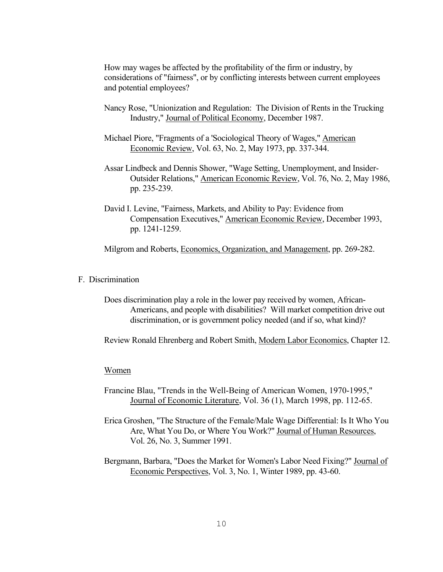How may wages be affected by the profitability of the firm or industry, by considerations of "fairness", or by conflicting interests between current employees and potential employees?

- Nancy Rose, "Unionization and Regulation: The Division of Rents in the Trucking Industry," Journal of Political Economy, December 1987.
- Michael Piore, "Fragments of a 'Sociological Theory of Wages," American Economic Review, Vol. 63, No. 2, May 1973, pp. 337-344.
- Assar Lindbeck and Dennis Shower, "Wage Setting, Unemployment, and Insider-Outsider Relations," American Economic Review, Vol. 76, No. 2, May 1986, pp. 235-239.
- David I. Levine, "Fairness, Markets, and Ability to Pay: Evidence from Compensation Executives," American Economic Review, December 1993, pp. 1241-1259.

Milgrom and Roberts, Economics, Organization, and Management, pp. 269-282.

# F. Discrimination

 Does discrimination play a role in the lower pay received by women, African-Americans, and people with disabilities? Will market competition drive out discrimination, or is government policy needed (and if so, what kind)?

Review Ronald Ehrenberg and Robert Smith, Modern Labor Economics, Chapter 12.

### Women

- Francine Blau, "Trends in the Well-Being of American Women, 1970-1995," Journal of Economic Literature, Vol. 36 (1), March 1998, pp. 112-65.
- Erica Groshen, "The Structure of the Female/Male Wage Differential: Is It Who You Are, What You Do, or Where You Work?" Journal of Human Resources, Vol. 26, No. 3, Summer 1991.
- Bergmann, Barbara, "Does the Market for Women's Labor Need Fixing?" Journal of Economic Perspectives, Vol. 3, No. 1, Winter 1989, pp. 43-60.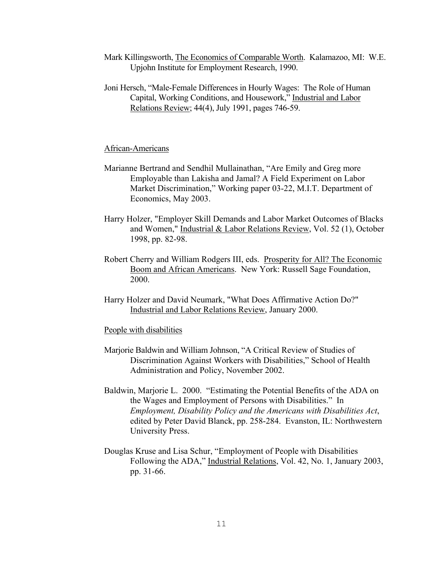- Mark Killingsworth, The Economics of Comparable Worth. Kalamazoo, MI: W.E. Upjohn Institute for Employment Research, 1990.
- Joni Hersch, "Male-Female Differences in Hourly Wages: The Role of Human Capital, Working Conditions, and Housework," Industrial and Labor Relations Review; 44(4), July 1991, pages 746-59.

#### African-Americans

- Marianne Bertrand and Sendhil Mullainathan, "Are Emily and Greg more Employable than Lakisha and Jamal? A Field Experiment on Labor Market Discrimination," Working paper 03-22, M.I.T. Department of Economics, May 2003.
- Harry Holzer, "Employer Skill Demands and Labor Market Outcomes of Blacks and Women," Industrial & Labor Relations Review, Vol. 52 (1), October 1998, pp. 82-98.
- Robert Cherry and William Rodgers III, eds. Prosperity for All? The Economic Boom and African Americans. New York: Russell Sage Foundation, 2000.
- Harry Holzer and David Neumark, "What Does Affirmative Action Do?" Industrial and Labor Relations Review, January 2000.

#### People with disabilities

- Marjorie Baldwin and William Johnson, "A Critical Review of Studies of Discrimination Against Workers with Disabilities," School of Health Administration and Policy, November 2002.
- Baldwin, Marjorie L. 2000. "Estimating the Potential Benefits of the ADA on the Wages and Employment of Persons with Disabilities." In *Employment, Disability Policy and the Americans with Disabilities Act*, edited by Peter David Blanck, pp. 258-284. Evanston, IL: Northwestern University Press.
- Douglas Kruse and Lisa Schur, "Employment of People with Disabilities Following the ADA," Industrial Relations, Vol. 42, No. 1, January 2003, pp. 31-66.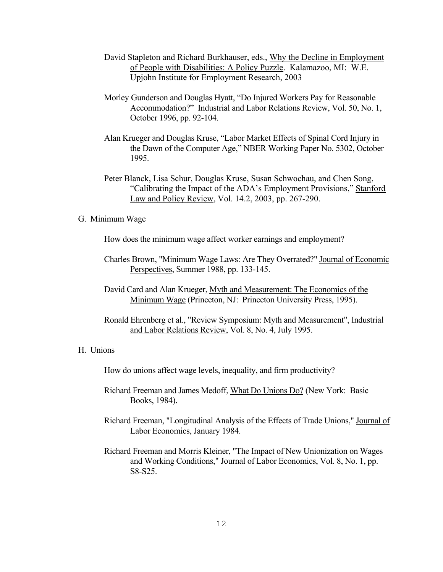- David Stapleton and Richard Burkhauser, eds., Why the Decline in Employment of People with Disabilities: A Policy Puzzle. Kalamazoo, MI: W.E. Upjohn Institute for Employment Research, 2003
- Morley Gunderson and Douglas Hyatt, "Do Injured Workers Pay for Reasonable Accommodation?" Industrial and Labor Relations Review, Vol. 50, No. 1, October 1996, pp. 92-104.
- Alan Krueger and Douglas Kruse, "Labor Market Effects of Spinal Cord Injury in the Dawn of the Computer Age," NBER Working Paper No. 5302, October 1995.
- Peter Blanck, Lisa Schur, Douglas Kruse, Susan Schwochau, and Chen Song, "Calibrating the Impact of the ADA's Employment Provisions," Stanford Law and Policy Review, Vol. 14.2, 2003, pp. 267-290.
- G. Minimum Wage

How does the minimum wage affect worker earnings and employment?

- Charles Brown, "Minimum Wage Laws: Are They Overrated?" Journal of Economic Perspectives, Summer 1988, pp. 133-145.
- David Card and Alan Krueger, Myth and Measurement: The Economics of the Minimum Wage (Princeton, NJ: Princeton University Press, 1995).
- Ronald Ehrenberg et al., "Review Symposium: Myth and Measurement", Industrial and Labor Relations Review, Vol. 8, No. 4, July 1995.

#### H. Unions

How do unions affect wage levels, inequality, and firm productivity?

- Richard Freeman and James Medoff, What Do Unions Do? (New York: Basic Books, 1984).
- Richard Freeman, "Longitudinal Analysis of the Effects of Trade Unions," Journal of Labor Economics, January 1984.
- Richard Freeman and Morris Kleiner, "The Impact of New Unionization on Wages and Working Conditions," Journal of Labor Economics, Vol. 8, No. 1, pp. S8-S25.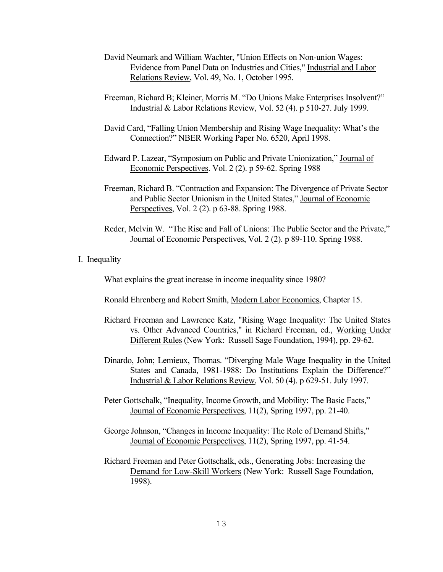- David Neumark and William Wachter, "Union Effects on Non-union Wages: Evidence from Panel Data on Industries and Cities," Industrial and Labor Relations Review, Vol. 49, No. 1, October 1995.
- Freeman, Richard B; Kleiner, Morris M. "Do Unions Make Enterprises Insolvent?" Industrial & Labor Relations Review, Vol. 52 (4). p 510-27. July 1999.
- David Card, "Falling Union Membership and Rising Wage Inequality: What's the Connection?" NBER Working Paper No. 6520, April 1998.
- Edward P. Lazear, "Symposium on Public and Private Unionization," Journal of Economic Perspectives. Vol. 2 (2). p 59-62. Spring 1988
- Freeman, Richard B. "Contraction and Expansion: The Divergence of Private Sector and Public Sector Unionism in the United States," Journal of Economic Perspectives, Vol. 2 (2). p 63-88. Spring 1988.
- Reder, Melvin W. "The Rise and Fall of Unions: The Public Sector and the Private," Journal of Economic Perspectives, Vol. 2 (2). p 89-110. Spring 1988.
- I. Inequality

What explains the great increase in income inequality since 1980?

- Ronald Ehrenberg and Robert Smith, Modern Labor Economics, Chapter 15.
- Richard Freeman and Lawrence Katz, "Rising Wage Inequality: The United States vs. Other Advanced Countries," in Richard Freeman, ed., Working Under Different Rules (New York: Russell Sage Foundation, 1994), pp. 29-62.
- Dinardo, John; Lemieux, Thomas. "Diverging Male Wage Inequality in the United States and Canada, 1981-1988: Do Institutions Explain the Difference?" Industrial & Labor Relations Review, Vol. 50 (4). p 629-51. July 1997.
- Peter Gottschalk, "Inequality, Income Growth, and Mobility: The Basic Facts," Journal of Economic Perspectives, 11(2), Spring 1997, pp. 21-40.
- George Johnson, "Changes in Income Inequality: The Role of Demand Shifts," Journal of Economic Perspectives, 11(2), Spring 1997, pp. 41-54.
- Richard Freeman and Peter Gottschalk, eds., Generating Jobs: Increasing the Demand for Low-Skill Workers (New York: Russell Sage Foundation, 1998).